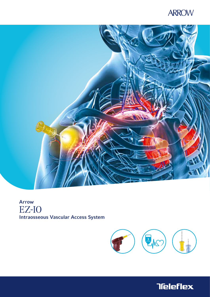# **ARROW**



# Arrow EZ-IO Intraosseous Vascular Access System



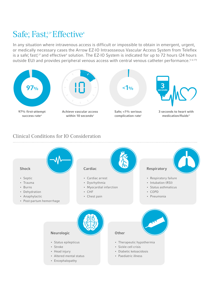# Safe; Fast,<sup>2,3\*</sup> Effective<sup>4</sup>

In any situation where intravenous access is difficult or impossible to obtain in emergent, urgent, or medically necessary cases the Arrow EZ-IO Intraosseous Vascular Access System from Teleflex is a safe<sup>†</sup>, fast<sup>2,3\*</sup> and effective<sup>4</sup> solution. The EZ-IO System is indicated for up to 72 hours (24 hours outside EU) and provides peripheral venous access with central venous catheter performance.<sup>5-6,17†</sup>



### Clinical Conditions for IO Consideration

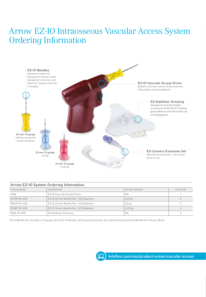# Arrow EZ-IO Intraosseous Vascular Access System Ordering Information



#### Arrow EZ-IO System Ordering Information

| <b>ITEM NUMBER</b> | <b>DESCRIPTION</b>                      | PATIENT WEIGHT | OTY/CASE |
|--------------------|-----------------------------------------|----------------|----------|
| 9058               | EZ-IO Vascular Access Driver            | <b>NA</b>      |          |
| 9079P-EU-005       | EZ-IO 45 mm Needle Set' + EZ-Stabilizer | $\geq 40$ kg   |          |
| 9001P-EU-005       | EZ-10 25 mm Needle Set' + EZ-Stabilizer | $\geq$ 3 kg    |          |
| 9018P-EU-005       | EZ-IO 15 mm Needle Set' + EZ-Stabilizer | $3-39$ kg      |          |
| 9066-VC-005        | <b>EZ-Stabilizer Dressing</b>           | <b>NA</b>      |          |

\*Each Needle Set includes a 15 gauge sterile EZ-IO Needle, EZ-Connect Extension Set, patient wrist band and Needle Vise Sharps Block

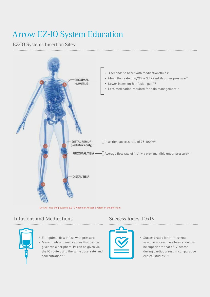# Arrow EZ-IO System Education

## EZ-IO Systems Insertion Sites



Do NOT use the powered EZ-IO Vascular Access System in the sternum

### Infusions and Medications Success Rates: IO>IV

- For optimal flow infuse with pressure
- Many fluids and medications that can be given via a peripheral IV can be given via the IO route using the same dose, rate, and concentration.8-11



• Success rates for intraosseous vascular access have been shown to be superior to that of IV access during cardiac arrest in comparative clinical studies<sup>15,16</sup>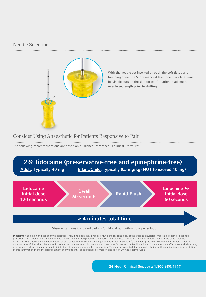### Needle Selection



With the needle set inserted through the soft tissue and touching bone, the 5 mm mark (at least one black line) must be visible outside the skin for confirmation of adequate needle set length prior to drilling.

### Consider Using Anaesthetic for Patients Responsive to Pain

The following recommendations are based on published intraosseous clinical literature:



Observe cautions/contraindications for lidocaine, confirm dose per solution

Disclaimer: Selection and use of any medication, including lidocaine, given IV or IO is the responsibility of the treating physician, medical director, or qualified prescriber and is not an official recommendation of Teleflex Incorporated. The information provided is a summary of information found in the cited reference materials. This information is not intended to be a substitute for sound clinical judgment or your institution's treatment protocols. Teleflex Incorporated is not the manufacturer of lidocaine. Users should review the manufacturer's instructions or directions for use and be familiar with all indications, side effects, contraindications, precautions and warnings prior to administration of lidocaine or any other medication. Teleflex Incorporated disclaims all liability for the application or interpretation of this information in the medical treatment of any patient. For additional information please visit www.eziocomfort.com.

24 Hour Clinical Support: 1.800.680.4977